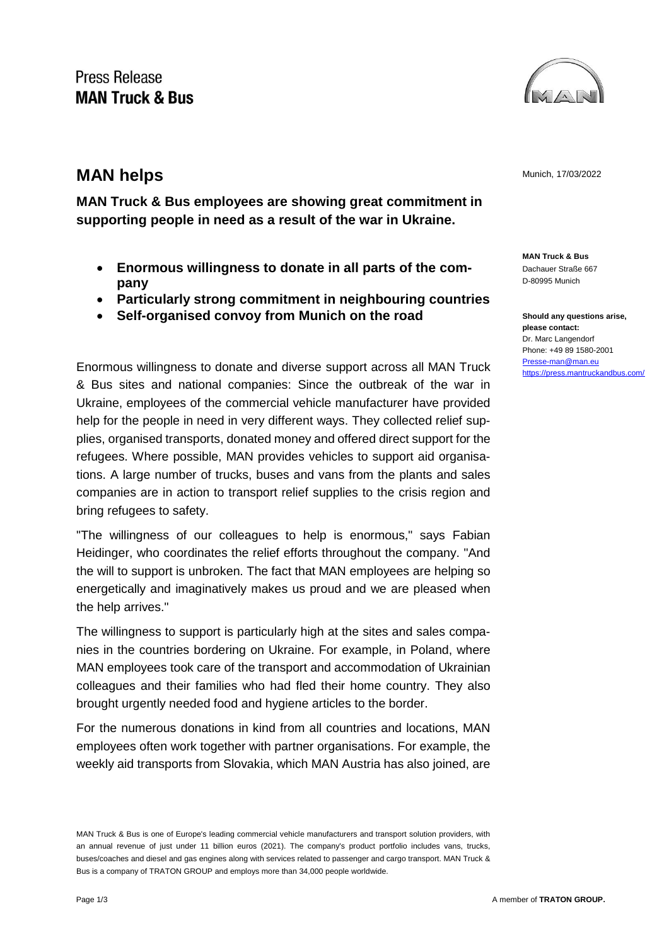## **Press Release MAN Truck & Bus**



**MAN Truck & Bus employees are showing great commitment in supporting people in need as a result of the war in Ukraine.**

- **Enormous willingness to donate in all parts of the company**
- **Particularly strong commitment in neighbouring countries**
- **Self-organised convoy from Munich on the road**

Enormous willingness to donate and diverse support across all MAN Truck & Bus sites and national companies: Since the outbreak of the war in Ukraine, employees of the commercial vehicle manufacturer have provided help for the people in need in very different ways. They collected relief supplies, organised transports, donated money and offered direct support for the refugees. Where possible, MAN provides vehicles to support aid organisations. A large number of trucks, buses and vans from the plants and sales companies are in action to transport relief supplies to the crisis region and bring refugees to safety.

"The willingness of our colleagues to help is enormous," says Fabian Heidinger, who coordinates the relief efforts throughout the company. "And the will to support is unbroken. The fact that MAN employees are helping so energetically and imaginatively makes us proud and we are pleased when the help arrives."

The willingness to support is particularly high at the sites and sales companies in the countries bordering on Ukraine. For example, in Poland, where MAN employees took care of the transport and accommodation of Ukrainian colleagues and their families who had fled their home country. They also brought urgently needed food and hygiene articles to the border.

For the numerous donations in kind from all countries and locations, MAN employees often work together with partner organisations. For example, the weekly aid transports from Slovakia, which MAN Austria has also joined, are



**MAN Truck & Bus** Dachauer Straße 667 D-80995 Munich

**Should any questions arise, please contact:** Dr. Marc Langendorf Phone: +49 89 1580-2001 [Presse-man@man.eu](mailto:Presse-man@man.eu) <https://press.mantruckandbus.com/>

MAN Truck & Bus is one of Europe's leading commercial vehicle manufacturers and transport solution providers, with an annual revenue of just under 11 billion euros (2021). The company's product portfolio includes vans, trucks, buses/coaches and diesel and gas engines along with services related to passenger and cargo transport. MAN Truck & Bus is a company of TRATON GROUP and employs more than 34,000 people worldwide.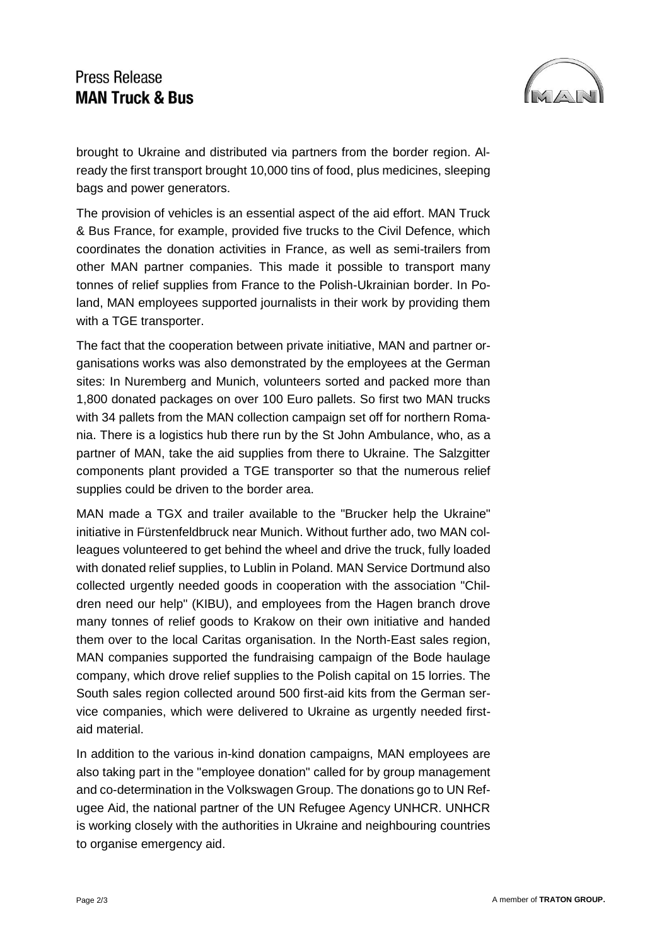## **Press Release MAN Truck & Bus**



brought to Ukraine and distributed via partners from the border region. Already the first transport brought 10,000 tins of food, plus medicines, sleeping bags and power generators.

The provision of vehicles is an essential aspect of the aid effort. MAN Truck & Bus France, for example, provided five trucks to the Civil Defence, which coordinates the donation activities in France, as well as semi-trailers from other MAN partner companies. This made it possible to transport many tonnes of relief supplies from France to the Polish-Ukrainian border. In Poland, MAN employees supported journalists in their work by providing them with a TGE transporter.

The fact that the cooperation between private initiative, MAN and partner organisations works was also demonstrated by the employees at the German sites: In Nuremberg and Munich, volunteers sorted and packed more than 1,800 donated packages on over 100 Euro pallets. So first two MAN trucks with 34 pallets from the MAN collection campaign set off for northern Romania. There is a logistics hub there run by the St John Ambulance, who, as a partner of MAN, take the aid supplies from there to Ukraine. The Salzgitter components plant provided a TGE transporter so that the numerous relief supplies could be driven to the border area.

MAN made a TGX and trailer available to the "Brucker help the Ukraine" initiative in Fürstenfeldbruck near Munich. Without further ado, two MAN colleagues volunteered to get behind the wheel and drive the truck, fully loaded with donated relief supplies, to Lublin in Poland. MAN Service Dortmund also collected urgently needed goods in cooperation with the association "Children need our help" (KIBU), and employees from the Hagen branch drove many tonnes of relief goods to Krakow on their own initiative and handed them over to the local Caritas organisation. In the North-East sales region, MAN companies supported the fundraising campaign of the Bode haulage company, which drove relief supplies to the Polish capital on 15 lorries. The South sales region collected around 500 first-aid kits from the German service companies, which were delivered to Ukraine as urgently needed firstaid material.

In addition to the various in-kind donation campaigns, MAN employees are also taking part in the "employee donation" called for by group management and co-determination in the Volkswagen Group. The donations go to UN Refugee Aid, the national partner of the UN Refugee Agency UNHCR. UNHCR is working closely with the authorities in Ukraine and neighbouring countries to organise emergency aid.